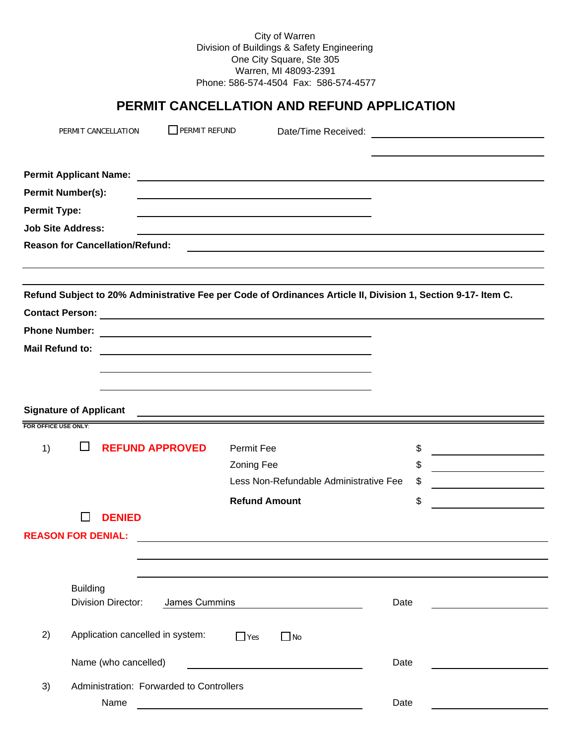City of Warren Division of Buildings & Safety Engineering One City Square, Ste 305 Warren, MI 48093-2391 Phone: 586-574-4504 Fax: 586-574-4577

# **PERMIT CANCELLATION AND REFUND APPLICATION**

|                     |                               | PERMIT CANCELLATION                        | $\Box$ PERMIT REFUND |                      | Date/Time Received:                                                                                           |      |      | <u> 1989 - Jan James Barbara, president e</u>                                                                         |
|---------------------|-------------------------------|--------------------------------------------|----------------------|----------------------|---------------------------------------------------------------------------------------------------------------|------|------|-----------------------------------------------------------------------------------------------------------------------|
|                     | <b>Permit Applicant Name:</b> |                                            |                      |                      |                                                                                                               |      |      |                                                                                                                       |
|                     | <b>Permit Number(s):</b>      |                                            |                      |                      |                                                                                                               |      |      |                                                                                                                       |
| <b>Permit Type:</b> |                               |                                            |                      |                      |                                                                                                               |      |      |                                                                                                                       |
|                     | <b>Job Site Address:</b>      |                                            |                      |                      |                                                                                                               |      |      |                                                                                                                       |
|                     |                               | <b>Reason for Cancellation/Refund:</b>     |                      |                      |                                                                                                               |      |      |                                                                                                                       |
|                     |                               |                                            |                      |                      |                                                                                                               |      |      |                                                                                                                       |
|                     |                               |                                            |                      |                      | Refund Subject to 20% Administrative Fee per Code of Ordinances Article II, Division 1, Section 9-17- Item C. |      |      |                                                                                                                       |
|                     | <b>Contact Person:</b>        |                                            |                      |                      | <u> 1980 - Johann Barbara, martxa amerikan personal (</u>                                                     |      |      |                                                                                                                       |
|                     | <b>Phone Number:</b>          |                                            |                      |                      |                                                                                                               |      |      |                                                                                                                       |
|                     | <b>Mail Refund to:</b>        |                                            |                      |                      | <u> 1989 - Johann Stein, mars an deutscher Stein († 1989)</u>                                                 |      |      |                                                                                                                       |
|                     |                               |                                            |                      |                      |                                                                                                               |      |      |                                                                                                                       |
|                     |                               |                                            |                      |                      |                                                                                                               |      |      |                                                                                                                       |
|                     | <b>Signature of Applicant</b> |                                            |                      |                      |                                                                                                               |      |      |                                                                                                                       |
|                     | FOR OFFICE USE ONLY:          |                                            |                      |                      |                                                                                                               |      |      |                                                                                                                       |
| 1)                  | ப                             | <b>REFUND APPROVED</b>                     |                      |                      | <b>Permit Fee</b>                                                                                             |      | \$   | <u> 1989 - Johann Barn, mars ann an t-Amhain an t-Amhain an t-Amhain an t-Amhain an t-Amhain an t-Amhain an t-Amh</u> |
|                     |                               |                                            |                      | <b>Zoning Fee</b>    |                                                                                                               |      | \$   |                                                                                                                       |
|                     |                               |                                            |                      |                      | Less Non-Refundable Administrative Fee                                                                        |      | \$   |                                                                                                                       |
|                     |                               |                                            |                      | <b>Refund Amount</b> |                                                                                                               |      | \$   |                                                                                                                       |
|                     |                               | <b>DENIED</b>                              |                      |                      |                                                                                                               |      |      |                                                                                                                       |
|                     | <b>REASON FOR DENIAL:</b>     |                                            |                      |                      |                                                                                                               |      |      |                                                                                                                       |
|                     |                               |                                            |                      |                      |                                                                                                               |      |      |                                                                                                                       |
|                     |                               |                                            |                      |                      |                                                                                                               |      |      |                                                                                                                       |
|                     | <b>Building</b>               |                                            |                      |                      |                                                                                                               |      |      |                                                                                                                       |
|                     |                               | <b>Division Director:</b><br>James Cummins |                      |                      |                                                                                                               | Date |      |                                                                                                                       |
| 2)                  |                               | Application cancelled in system:           |                      | $\Box$ Yes           | $\Box$ No                                                                                                     |      |      |                                                                                                                       |
|                     |                               | Name (who cancelled)                       |                      |                      |                                                                                                               |      | Date |                                                                                                                       |
| 3)                  |                               | Administration: Forwarded to Controllers   |                      |                      |                                                                                                               |      |      |                                                                                                                       |
|                     |                               | Name                                       |                      |                      |                                                                                                               |      | Date |                                                                                                                       |
|                     |                               |                                            |                      |                      |                                                                                                               |      |      |                                                                                                                       |